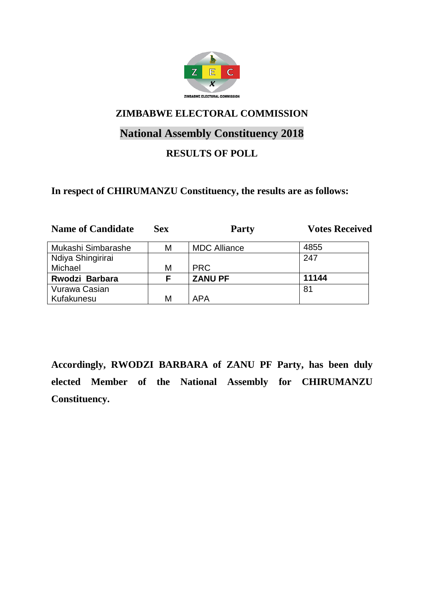

# **National Assembly Constituency 2018**

## **RESULTS OF POLL**

#### **In respect of CHIRUMANZU Constituency, the results are as follows:**

| <b>Name of Candidate</b> | <b>Sex</b> | <b>Party</b>        | <b>Votes Received</b> |
|--------------------------|------------|---------------------|-----------------------|
| Mukashi Simbarashe       | М          | <b>MDC Alliance</b> | 4855                  |
| Ndiya Shingirirai        |            |                     | 247                   |
| Michael                  | М          | <b>PRC</b>          |                       |
| Rwodzi Barbara           | F.         | <b>ZANU PF</b>      | 11144                 |
| Vurawa Casian            |            |                     | 81                    |
| Kufakunesu               | М          | <b>APA</b>          |                       |

**Accordingly, RWODZI BARBARA of ZANU PF Party, has been duly elected Member of the National Assembly for CHIRUMANZU Constituency.**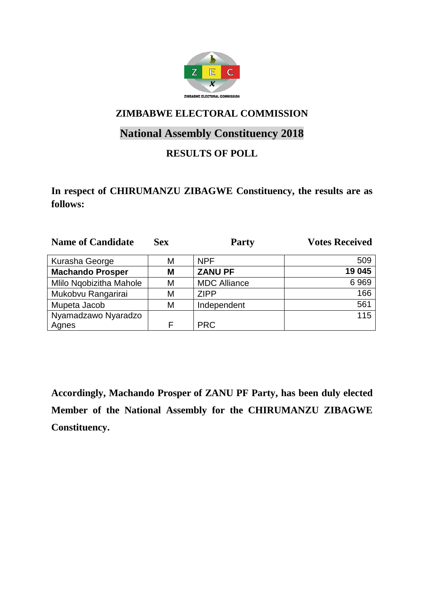

# **National Assembly Constituency 2018**

## **RESULTS OF POLL**

### **In respect of CHIRUMANZU ZIBAGWE Constituency, the results are as follows:**

| <b>Name of Candidate</b> | <b>Sex</b> | <b>Party</b>        | <b>Votes Received</b> |
|--------------------------|------------|---------------------|-----------------------|
| Kurasha George           | М          | <b>NPF</b>          | 509                   |
| <b>Machando Prosper</b>  | Μ          | <b>ZANU PF</b>      | 19 045                |
| Mlilo Ngobizitha Mahole  | М          | <b>MDC Alliance</b> | 6969                  |
| Mukobvu Rangarirai       | М          | <b>ZIPP</b>         | 166                   |
| Mupeta Jacob             | Μ          | Independent         | 561                   |
| Nyamadzawo Nyaradzo      |            |                     | 115                   |
| Agnes                    | F          | <b>PRC</b>          |                       |

**Accordingly, Machando Prosper of ZANU PF Party, has been duly elected Member of the National Assembly for the CHIRUMANZU ZIBAGWE Constituency.**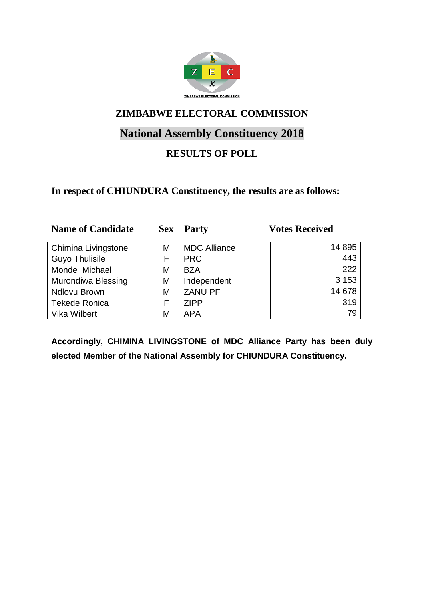

# **National Assembly Constituency 2018**

## **RESULTS OF POLL**

#### **In respect of CHIUNDURA Constituency, the results are as follows:**

| <b>Name of Candidate</b>  | <b>Sex</b> | <b>Party</b>        | <b>Votes Received</b> |
|---------------------------|------------|---------------------|-----------------------|
| Chimina Livingstone       | Μ          | <b>MDC Alliance</b> | 14 895                |
| <b>Guyo Thulisile</b>     | F          | <b>PRC</b>          | 443                   |
| Monde Michael             | M          | <b>BZA</b>          | 222                   |
| <b>Murondiwa Blessing</b> | M          | Independent         | 3 1 5 3               |
| <b>Ndlovu Brown</b>       | M          | <b>ZANU PF</b>      | 14 678                |
| <b>Tekede Ronica</b>      | F          | <b>ZIPP</b>         | 319                   |
| Vika Wilbert              | M          | <b>APA</b>          | 79                    |

**Accordingly, CHIMINA LIVINGSTONE of MDC Alliance Party has been duly elected Member of the National Assembly for CHIUNDURA Constituency.**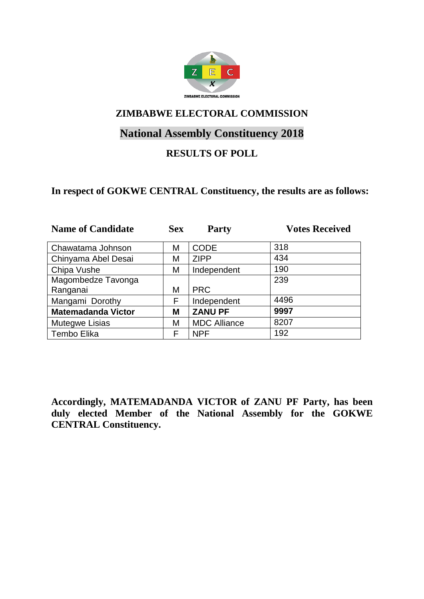

# **National Assembly Constituency 2018**

### **RESULTS OF POLL**

#### **In respect of GOKWE CENTRAL Constituency, the results are as follows:**

| <b>Name of Candidate</b>  | <b>Sex</b> | <b>Party</b>        | <b>Votes Received</b> |
|---------------------------|------------|---------------------|-----------------------|
| Chawatama Johnson         | М          | <b>CODE</b>         | 318                   |
| Chinyama Abel Desai       | Μ          | <b>ZIPP</b>         | 434                   |
| Chipa Vushe               | М          | Independent         | 190                   |
| Magombedze Tavonga        |            |                     | 239                   |
| Ranganai                  | М          | <b>PRC</b>          |                       |
| Mangami Dorothy           | F          | Independent         | 4496                  |
| <b>Matemadanda Victor</b> | М          | <b>ZANU PF</b>      | 9997                  |
| Mutegwe Lisias            | М          | <b>MDC Alliance</b> | 8207                  |
| Tembo Elika               | F          | <b>NPF</b>          | 192                   |

**Accordingly, MATEMADANDA VICTOR of ZANU PF Party, has been duly elected Member of the National Assembly for the GOKWE CENTRAL Constituency.**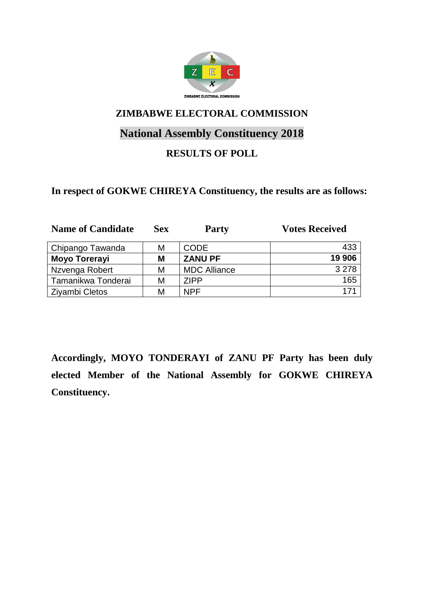

# **National Assembly Constituency 2018**

## **RESULTS OF POLL**

#### **In respect of GOKWE CHIREYA Constituency, the results are as follows:**

| <b>Name of Candidate</b> | <b>Sex</b> | <b>Party</b>        | <b>Votes Received</b> |
|--------------------------|------------|---------------------|-----------------------|
| Chipango Tawanda         | М          | <b>CODE</b>         | 433                   |
| <b>Moyo Torerayi</b>     | M          | <b>ZANU PF</b>      | 19 906                |
| Nzvenga Robert           | М          | <b>MDC Alliance</b> | 3 2 7 8               |
| Tamanikwa Tonderai       | М          | <b>ZIPP</b>         | 165                   |
| <b>Ziyambi Cletos</b>    | М          | <b>NPF</b>          | 171                   |

**Accordingly, MOYO TONDERAYI of ZANU PF Party has been duly elected Member of the National Assembly for GOKWE CHIREYA Constituency.**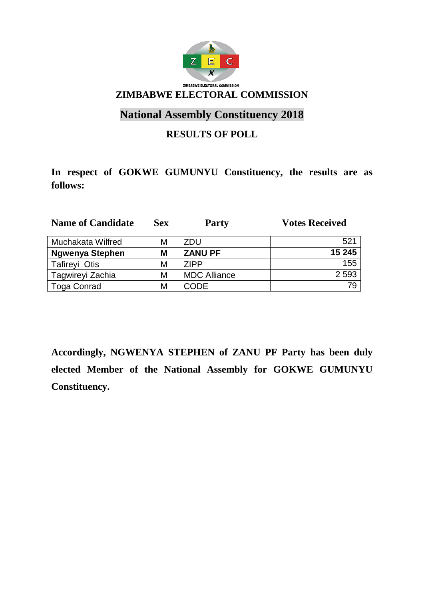

# **National Assembly Constituency 2018**

### **RESULTS OF POLL**

# **In respect of GOKWE GUMUNYU Constituency, the results are as follows:**

| <b>Name of Candidate</b> | <b>Sex</b> | <b>Party</b>        | <b>Votes Received</b> |
|--------------------------|------------|---------------------|-----------------------|
| Muchakata Wilfred        | Μ          | ZDU                 | 521                   |
| <b>Ngwenya Stephen</b>   | M          | <b>ZANU PF</b>      | 15 245                |
| <b>Tafireyi Otis</b>     | Μ          | <b>ZIPP</b>         | 155                   |
| Tagwireyi Zachia         | Μ          | <b>MDC Alliance</b> | 2 5 9 3               |
| <b>Toga Conrad</b>       | Μ          | <b>CODE</b>         | 79                    |

**Accordingly, NGWENYA STEPHEN of ZANU PF Party has been duly elected Member of the National Assembly for GOKWE GUMUNYU Constituency.**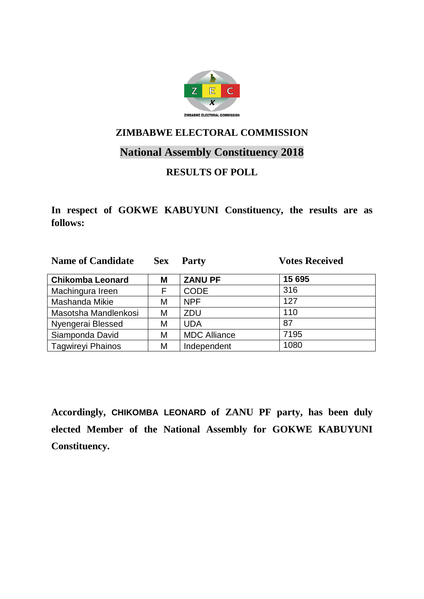

## **National Assembly Constituency 2018**

## **RESULTS OF POLL**

**In respect of GOKWE KABUYUNI Constituency, the results are as follows:**

| <b>Name of Candidate</b> | <b>Sex</b> | <b>Party</b>        | <b>Votes Received</b> |
|--------------------------|------------|---------------------|-----------------------|
| <b>Chikomba Leonard</b>  | М          | <b>ZANU PF</b>      | 15 695                |
| Machingura Ireen         | F          | <b>CODE</b>         | 316                   |
| Mashanda Mikie           | Μ          | <b>NPF</b>          | 127                   |
| Masotsha Mandlenkosi     | M          | <b>ZDU</b>          | 110                   |
| Nyengerai Blessed        | М          | <b>UDA</b>          | 87                    |
| Siamponda David          | М          | <b>MDC Alliance</b> | 7195                  |
| <b>Tagwireyi Phainos</b> | M          | Independent         | 1080                  |

**Accordingly, CHIKOMBA LEONARD of ZANU PF party, has been duly elected Member of the National Assembly for GOKWE KABUYUNI Constituency.**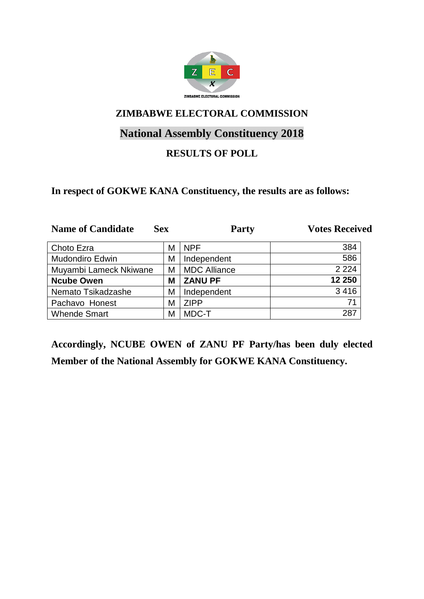

# **National Assembly Constituency 2018**

## **RESULTS OF POLL**

#### **In respect of GOKWE KANA Constituency, the results are as follows:**

| <b>Name of Candidate</b> | <b>Sex</b> | <b>Party</b>        | <b>Votes Received</b> |
|--------------------------|------------|---------------------|-----------------------|
| Choto Ezra               | М          | <b>NPF</b>          | 384                   |
| <b>Mudondiro Edwin</b>   | Μ          | Independent         | 586                   |
| Muyambi Lameck Nkiwane   | М          | <b>MDC Alliance</b> | 2 2 2 4               |
| <b>Ncube Owen</b>        | М          | <b>ZANU PF</b>      | 12 250                |
| Nemato Tsikadzashe       | Μ          | Independent         | 3 4 1 6               |
| Pachavo Honest           | M          | <b>ZIPP</b>         | 71                    |
| <b>Whende Smart</b>      | М          | MDC-T               | 287                   |

**Accordingly, NCUBE OWEN of ZANU PF Party/has been duly elected Member of the National Assembly for GOKWE KANA Constituency.**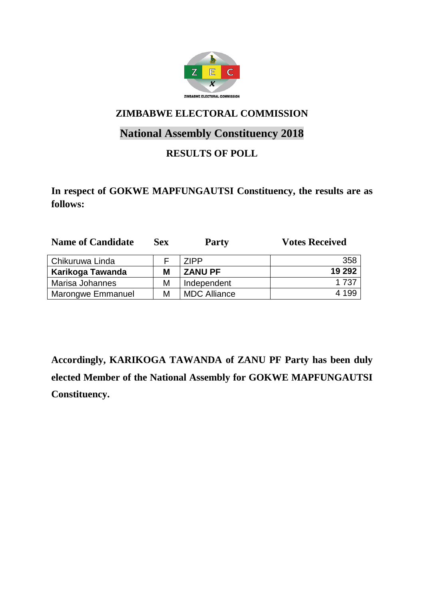

# **National Assembly Constituency 2018**

## **RESULTS OF POLL**

**In respect of GOKWE MAPFUNGAUTSI Constituency, the results are as follows:**

| <b>Name of Candidate</b> | <b>Sex</b> | <b>Party</b>        | <b>Votes Received</b> |
|--------------------------|------------|---------------------|-----------------------|
| Chikuruwa Linda          |            | 7IPP                | 358                   |
| Karikoga Tawanda         | M          | <b>ZANU PF</b>      | 19 29 2               |
| Marisa Johannes          | M          | Independent         | 1 737                 |
| Marongwe Emmanuel        | M          | <b>MDC Alliance</b> | 4 199                 |

**Accordingly, KARIKOGA TAWANDA of ZANU PF Party has been duly elected Member of the National Assembly for GOKWE MAPFUNGAUTSI Constituency.**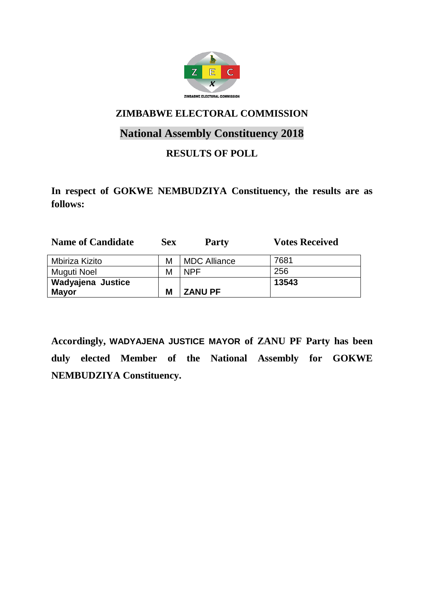

# **National Assembly Constituency 2018**

## **RESULTS OF POLL**

**In respect of GOKWE NEMBUDZIYA Constituency, the results are as follows:**

| <b>Name of Candidate</b> | <b>Sex</b> | <b>Party</b>        | <b>Votes Received</b> |
|--------------------------|------------|---------------------|-----------------------|
| Mbiriza Kizito           | М          | <b>MDC Alliance</b> | 7681                  |
| Muguti Noel              | М          | NPF                 | 256                   |
| Wadyajena Justice        |            |                     | 13543                 |
| <b>Mayor</b>             | M          | <b>ZANU PF</b>      |                       |

**Accordingly, WADYAJENA JUSTICE MAYOR of ZANU PF Party has been duly elected Member of the National Assembly for GOKWE NEMBUDZIYA Constituency.**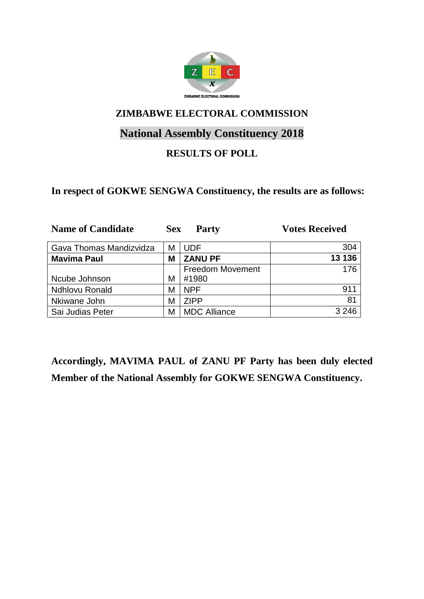

# **National Assembly Constituency 2018**

## **RESULTS OF POLL**

#### **In respect of GOKWE SENGWA Constituency, the results are as follows:**

| <b>Name of Candidate</b> | <b>Sex</b> | <b>Party</b>            | <b>Votes Received</b> |
|--------------------------|------------|-------------------------|-----------------------|
| Gava Thomas Mandizvidza  | М          | <b>UDF</b>              | 304                   |
| <b>Mavima Paul</b>       | Μ          | <b>ZANU PF</b>          | 13 136                |
|                          |            | <b>Freedom Movement</b> | 176                   |
| Ncube Johnson            | M          | #1980                   |                       |
| <b>Ndhlovu Ronald</b>    | М          | <b>NPF</b>              | 911                   |
| Nkiwane John             | М          | <b>ZIPP</b>             | 81                    |
| Sai Judias Peter         | М          | <b>MDC Alliance</b>     | 3 2 4 6               |

**Accordingly, MAVIMA PAUL of ZANU PF Party has been duly elected Member of the National Assembly for GOKWE SENGWA Constituency.**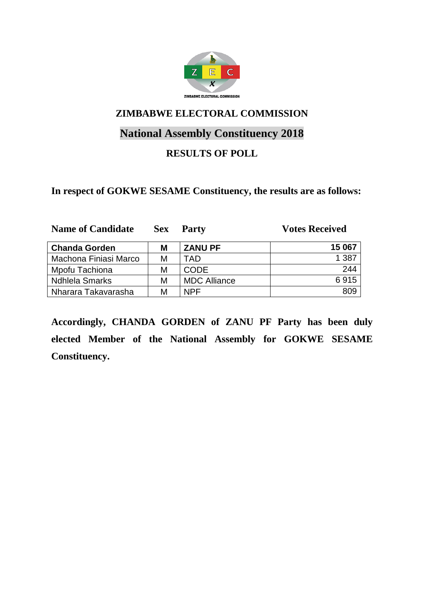

# **National Assembly Constituency 2018**

## **RESULTS OF POLL**

#### **In respect of GOKWE SESAME Constituency, the results are as follows:**

| <b>Name of Candidate</b> | <b>Sex</b> | <b>Party</b>        | <b>Votes Received</b> |
|--------------------------|------------|---------------------|-----------------------|
| <b>Chanda Gorden</b>     | Μ          | <b>ZANU PF</b>      | 15 067                |
| Machona Finiasi Marco    | М          | TAD                 | 1 3 8 7               |
| Mpofu Tachiona           | М          | <b>CODE</b>         | 244                   |
| <b>Ndhlela Smarks</b>    | М          | <b>MDC Alliance</b> | 6915                  |
| Nharara Takavarasha      | М          | NPF                 | 809                   |

**Accordingly, CHANDA GORDEN of ZANU PF Party has been duly elected Member of the National Assembly for GOKWE SESAME Constituency.**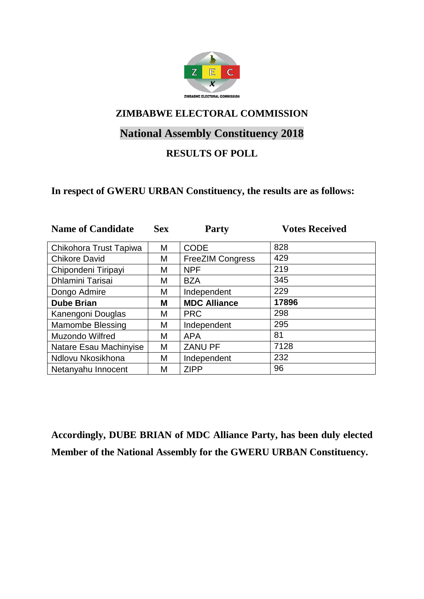

# **National Assembly Constituency 2018**

## **RESULTS OF POLL**

#### **In respect of GWERU URBAN Constituency, the results are as follows:**

| <b>Name of Candidate</b> | <b>Sex</b> | <b>Party</b>            | <b>Votes Received</b> |
|--------------------------|------------|-------------------------|-----------------------|
| Chikohora Trust Tapiwa   | М          | <b>CODE</b>             | 828                   |
| <b>Chikore David</b>     | Μ          | <b>FreeZIM Congress</b> | 429                   |
| Chipondeni Tiripayi      | Μ          | <b>NPF</b>              | 219                   |
| <b>Dhlamini Tarisai</b>  | М          | <b>BZA</b>              | 345                   |
| Dongo Admire             | Μ          | Independent             | 229                   |
| <b>Dube Brian</b>        | М          | <b>MDC Alliance</b>     | 17896                 |
| Kanengoni Douglas        | M          | <b>PRC</b>              | 298                   |
| <b>Mamombe Blessing</b>  | Μ          | Independent             | 295                   |
| Muzondo Wilfred          | М          | <b>APA</b>              | 81                    |
| Natare Esau Machinyise   | М          | <b>ZANU PF</b>          | 7128                  |
| Ndlovu Nkosikhona        | M          | Independent             | 232                   |
| Netanyahu Innocent       | М          | <b>ZIPP</b>             | 96                    |

**Accordingly, DUBE BRIAN of MDC Alliance Party, has been duly elected Member of the National Assembly for the GWERU URBAN Constituency.**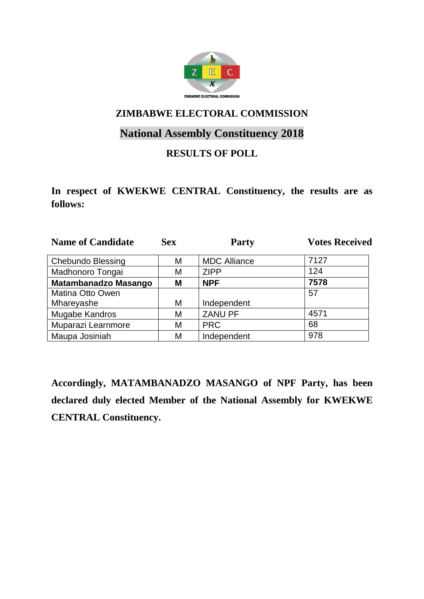

# **National Assembly Constituency 2018**

### **RESULTS OF POLL**

**In respect of KWEKWE CENTRAL Constituency, the results are as follows:**

| <b>Name of Candidate</b>    | <b>Sex</b> | <b>Party</b>        | <b>Votes Received</b> |
|-----------------------------|------------|---------------------|-----------------------|
| <b>Chebundo Blessing</b>    | Μ          | <b>MDC Alliance</b> | 7127                  |
| Madhonoro Tongai            | М          | <b>ZIPP</b>         | 124                   |
| <b>Matambanadzo Masango</b> | Μ          | <b>NPF</b>          | 7578                  |
| Matina Otto Owen            |            |                     | 57                    |
| Mhareyashe                  | M          | Independent         |                       |
| Mugabe Kandros              | M          | <b>ZANU PF</b>      | 4571                  |
| Muparazi Learnmore          | M          | <b>PRC</b>          | 68                    |
| Maupa Josiniah              | М          | Independent         | 978                   |

**Accordingly, MATAMBANADZO MASANGO of NPF Party, has been declared duly elected Member of the National Assembly for KWEKWE CENTRAL Constituency.**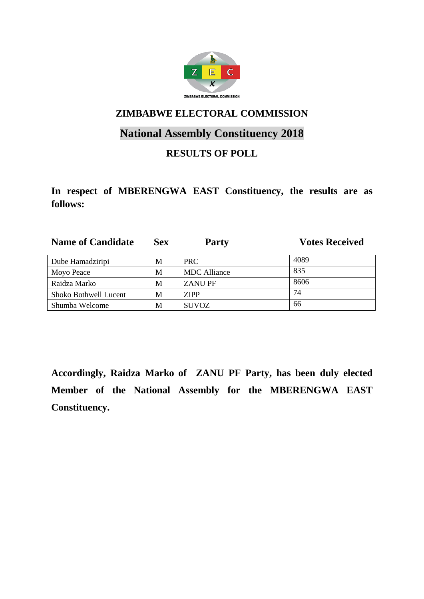

# **National Assembly Constituency 2018**

## **RESULTS OF POLL**

**In respect of MBERENGWA EAST Constituency, the results are as follows:**

| <b>Name of Candidate</b> | <b>Sex</b> | <b>Party</b>        | <b>Votes Received</b> |
|--------------------------|------------|---------------------|-----------------------|
| Dube Hamadziripi         | М          | PRC.                | 4089                  |
| Moyo Peace               | M          | <b>MDC</b> Alliance | 835                   |
| Raidza Marko             | M          | <b>ZANU PF</b>      | 8606                  |
| Shoko Bothwell Lucent    | М          | <b>ZIPP</b>         | 74                    |
| Shumba Welcome           | M          | <b>SUVOZ</b>        | 66                    |

**Accordingly, Raidza Marko of ZANU PF Party, has been duly elected Member of the National Assembly for the MBERENGWA EAST Constituency.**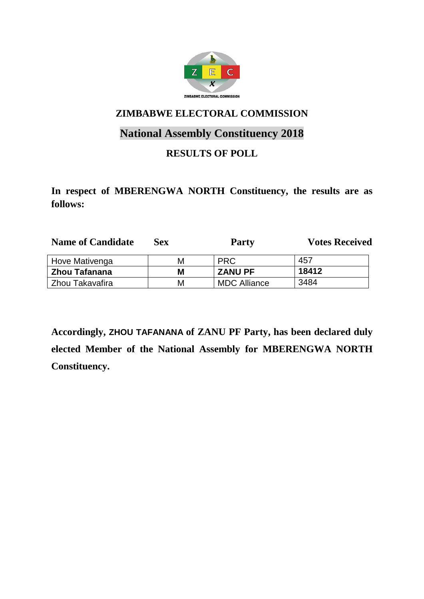

# **National Assembly Constituency 2018**

## **RESULTS OF POLL**

**In respect of MBERENGWA NORTH Constituency, the results are as follows:**

| <b>Name of Candidate</b> | Sex. | <b>Party</b>        | <b>Votes Received</b> |
|--------------------------|------|---------------------|-----------------------|
| Hove Mativenga           | М    | <b>PRC</b>          | 457                   |
| Zhou Tafanana            | Μ    | <b>ZANU PF</b>      | 18412                 |
| Zhou Takavafira          | М    | <b>MDC Alliance</b> | 3484                  |

**Accordingly, ZHOU TAFANANA of ZANU PF Party, has been declared duly elected Member of the National Assembly for MBERENGWA NORTH Constituency.**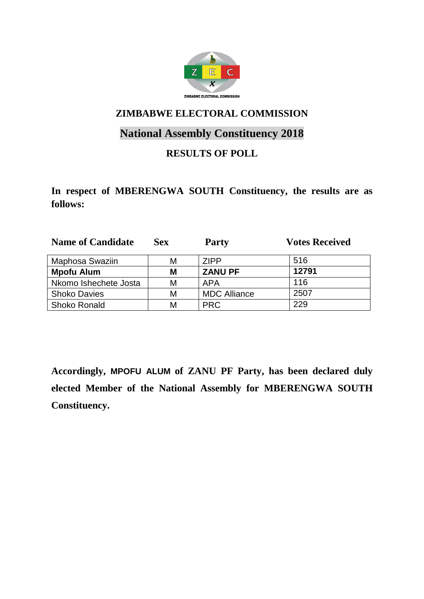

# **National Assembly Constituency 2018**

## **RESULTS OF POLL**

**In respect of MBERENGWA SOUTH Constituency, the results are as follows:**

| <b>Name of Candidate</b> | <b>Sex</b> | <b>Party</b>        | <b>Votes Received</b> |
|--------------------------|------------|---------------------|-----------------------|
| Maphosa Swaziin          | М          | <b>ZIPP</b>         | 516                   |
| <b>Mpofu Alum</b>        | М          | <b>ZANU PF</b>      | 12791                 |
| Nkomo Ishechete Josta    | М          | APA                 | 116                   |
| <b>Shoko Davies</b>      | М          | <b>MDC Alliance</b> | 2507                  |
| <b>Shoko Ronald</b>      | М          | <b>PRC</b>          | 229                   |

**Accordingly, MPOFU ALUM of ZANU PF Party, has been declared duly elected Member of the National Assembly for MBERENGWA SOUTH Constituency.**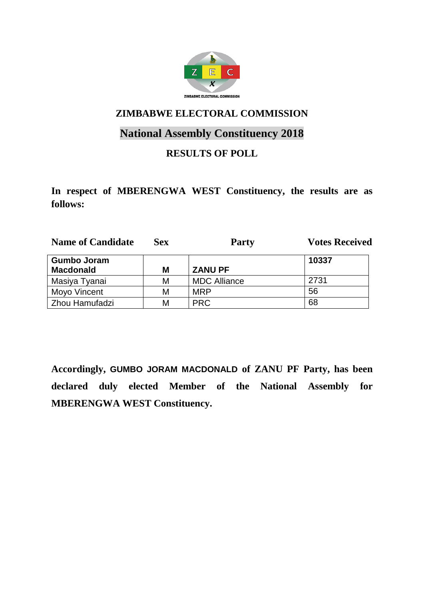

# **National Assembly Constituency 2018**

### **RESULTS OF POLL**

**In respect of MBERENGWA WEST Constituency, the results are as follows:**

| <b>Name of Candidate</b> | Sex | <b>Party</b>        | <b>Votes Received</b> |
|--------------------------|-----|---------------------|-----------------------|
| <b>Gumbo Joram</b>       |     |                     | 10337                 |
| <b>Macdonald</b>         | Μ   | <b>ZANU PF</b>      |                       |
| Masiya Tyanai            | М   | <b>MDC Alliance</b> | 2731                  |
| Moyo Vincent             | М   | <b>MRP</b>          | 56                    |
| Zhou Hamufadzi           | М   | <b>PRC</b>          | 68                    |

**Accordingly, GUMBO JORAM MACDONALD of ZANU PF Party, has been declared duly elected Member of the National Assembly for MBERENGWA WEST Constituency.**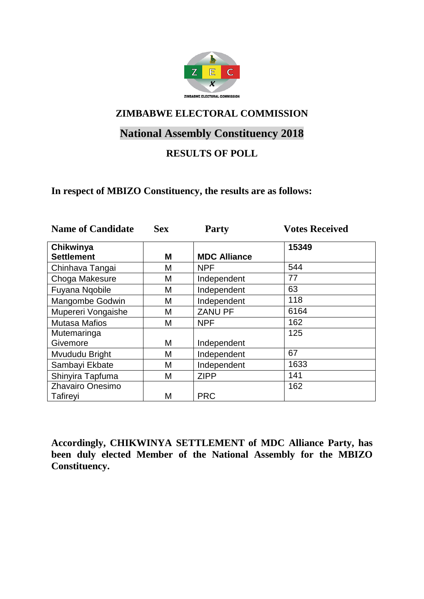

# **National Assembly Constituency 2018**

## **RESULTS OF POLL**

#### **In respect of MBIZO Constituency, the results are as follows:**

| <b>Name of Candidate</b>       | <b>Sex</b> | <b>Party</b>        | <b>Votes Received</b> |
|--------------------------------|------------|---------------------|-----------------------|
| Chikwinya<br><b>Settlement</b> | M          | <b>MDC Alliance</b> | 15349                 |
| Chinhava Tangai                | М          | <b>NPF</b>          | 544                   |
| Choga Makesure                 | Μ          | Independent         | 77                    |
| Fuyana Ngobile                 | Μ          | Independent         | 63                    |
| Mangombe Godwin                | М          | Independent         | 118                   |
| Mupereri Vongaishe             | Μ          | <b>ZANU PF</b>      | 6164                  |
| <b>Mutasa Mafios</b>           | М          | <b>NPF</b>          | 162                   |
| Mutemaringa<br>Givemore        | М          | Independent         | 125                   |
| Mvududu Bright                 | М          | Independent         | 67                    |
| Sambayi Ekbate                 | М          | Independent         | 1633                  |
| Shinyira Tapfuma               | М          | <b>ZIPP</b>         | 141                   |
| Zhavairo Onesimo               |            |                     | 162                   |
| Tafireyi                       | М          | <b>PRC</b>          |                       |

**Accordingly, CHIKWINYA SETTLEMENT of MDC Alliance Party, has been duly elected Member of the National Assembly for the MBIZO Constituency.**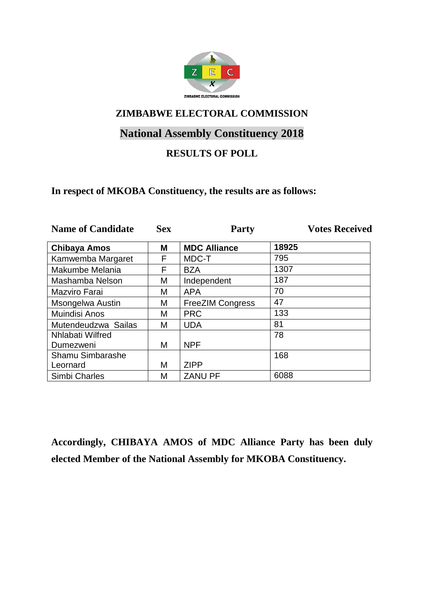

# **National Assembly Constituency 2018**

## **RESULTS OF POLL**

#### **In respect of MKOBA Constituency, the results are as follows:**

| <b>Name of Candidate</b> | <b>Sex</b> | <b>Party</b>            | <b>Votes Received</b> |
|--------------------------|------------|-------------------------|-----------------------|
| <b>Chibaya Amos</b>      | Μ          | <b>MDC Alliance</b>     | 18925                 |
| Kamwemba Margaret        | F          | MDC-T                   | 795                   |
| Makumbe Melania          | F          | <b>BZA</b>              | 1307                  |
| Mashamba Nelson          | М          | Independent             | 187                   |
| Mazviro Farai            | М          | <b>APA</b>              | 70                    |
| Msongelwa Austin         | М          | <b>FreeZIM Congress</b> | 47                    |
| <b>Muindisi Anos</b>     | М          | <b>PRC</b>              | 133                   |
| Mutendeudzwa Sailas      | Μ          | <b>UDA</b>              | 81                    |
| <b>Nhlabati Wilfred</b>  |            |                         | 78                    |
| Dumezweni                | M          | <b>NPF</b>              |                       |
| Shamu Simbarashe         |            |                         | 168                   |
| Leornard                 | М          | <b>ZIPP</b>             |                       |
| Simbi Charles            | M          | <b>ZANU PF</b>          | 6088                  |

**Accordingly, CHIBAYA AMOS of MDC Alliance Party has been duly elected Member of the National Assembly for MKOBA Constituency.**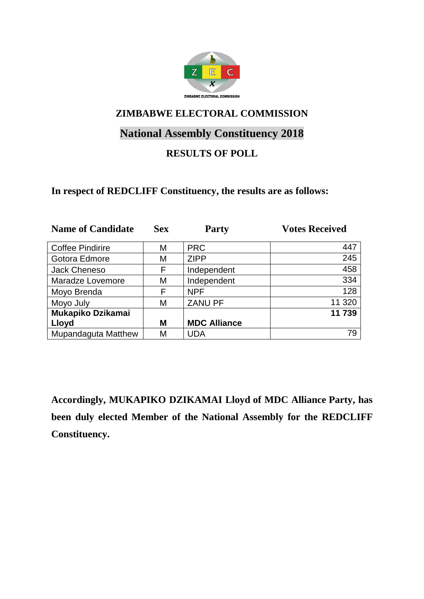

# **National Assembly Constituency 2018**

## **RESULTS OF POLL**

#### **In respect of REDCLIFF Constituency, the results are as follows:**

| <b>Name of Candidate</b>   | <b>Sex</b> | <b>Party</b>        | <b>Votes Received</b> |
|----------------------------|------------|---------------------|-----------------------|
|                            |            |                     |                       |
| <b>Coffee Pindirire</b>    | М          | <b>PRC</b>          | 447                   |
| Gotora Edmore              | Μ          | <b>ZIPP</b>         | 245                   |
| <b>Jack Cheneso</b>        | F          | Independent         | 458                   |
| Maradze Lovemore           | Μ          | Independent         | 334                   |
| Moyo Brenda                | F          | <b>NPF</b>          | 128                   |
| Moyo July                  | М          | <b>ZANU PF</b>      | 11 320                |
| Mukapiko Dzikamai          |            |                     | 11 739                |
| Lloyd                      | M          | <b>MDC Alliance</b> |                       |
| <b>Mupandaguta Matthew</b> | Μ          | UDA                 | 79                    |

**Accordingly, MUKAPIKO DZIKAMAI Lloyd of MDC Alliance Party, has been duly elected Member of the National Assembly for the REDCLIFF Constituency.**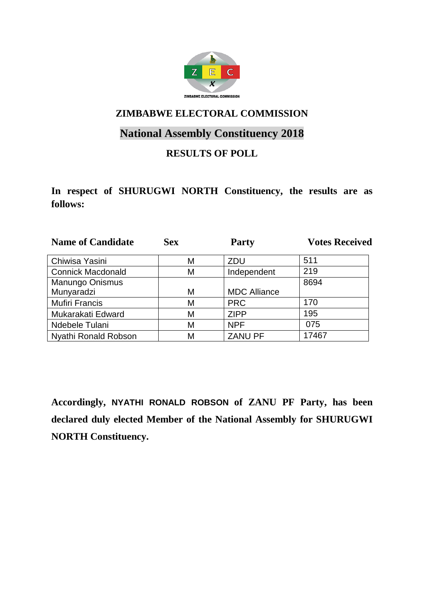

# **National Assembly Constituency 2018**

## **RESULTS OF POLL**

**In respect of SHURUGWI NORTH Constituency, the results are as follows:**

| <b>Name of Candidate</b> | <b>Sex</b> | <b>Party</b>        | <b>Votes Received</b> |
|--------------------------|------------|---------------------|-----------------------|
| Chiwisa Yasini           | M          | <b>ZDU</b>          | 511                   |
| <b>Connick Macdonald</b> | M          | Independent         | 219                   |
| <b>Manungo Onismus</b>   |            |                     | 8694                  |
| Munyaradzi               | M          | <b>MDC Alliance</b> |                       |
| <b>Mufiri Francis</b>    | M          | <b>PRC</b>          | 170                   |
| Mukarakati Edward        | M          | <b>ZIPP</b>         | 195                   |
| Ndebele Tulani           | M          | <b>NPF</b>          | 075                   |
| Nyathi Ronald Robson     | М          | <b>ZANU PF</b>      | 17467                 |

**Accordingly, NYATHI RONALD ROBSON of ZANU PF Party, has been declared duly elected Member of the National Assembly for SHURUGWI NORTH Constituency.**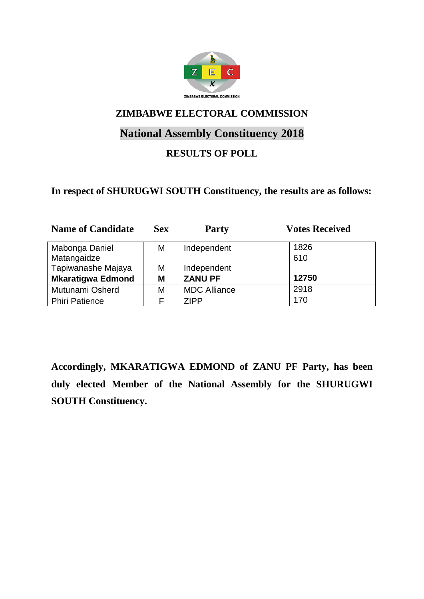

# **National Assembly Constituency 2018**

## **RESULTS OF POLL**

#### **In respect of SHURUGWI SOUTH Constituency, the results are as follows:**

| <b>Name of Candidate</b> | <b>Sex</b> | <b>Party</b>        | <b>Votes Received</b> |
|--------------------------|------------|---------------------|-----------------------|
| Mabonga Daniel           | Μ          | Independent         | 1826                  |
| Matangaidze              |            |                     | 610                   |
| Tapiwanashe Majaya       | Μ          | Independent         |                       |
| <b>Mkaratigwa Edmond</b> | M          | <b>ZANU PF</b>      | 12750                 |
| Mutunami Osherd          | Μ          | <b>MDC Alliance</b> | 2918                  |
| <b>Phiri Patience</b>    |            | <b>ZIPP</b>         | 170                   |

**Accordingly, MKARATIGWA EDMOND of ZANU PF Party, has been duly elected Member of the National Assembly for the SHURUGWI SOUTH Constituency.**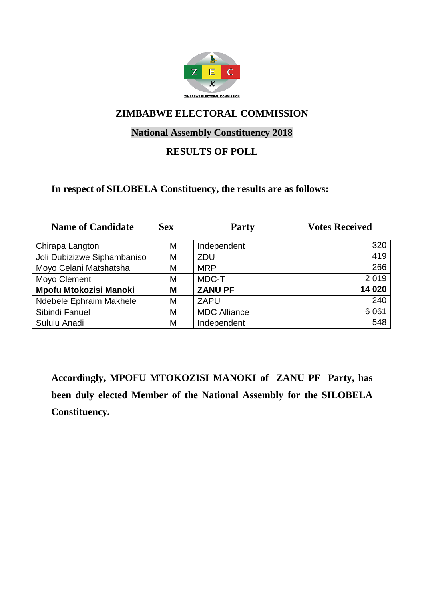

### **National Assembly Constituency 2018**

### **RESULTS OF POLL**

#### **In respect of SILOBELA Constituency, the results are as follows:**

| <b>Name of Candidate</b>      | <b>Sex</b> | <b>Party</b>        | <b>Votes Received</b> |
|-------------------------------|------------|---------------------|-----------------------|
| Chirapa Langton               | М          | Independent         | 320                   |
| Joli Dubizizwe Siphambaniso   | М          | ZDU                 | 419                   |
| Moyo Celani Matshatsha        | М          | <b>MRP</b>          | 266                   |
| Moyo Clement                  | М          | MDC-T               | 2019                  |
| <b>Mpofu Mtokozisi Manoki</b> | М          | <b>ZANU PF</b>      | 14 020                |
| Ndebele Ephraim Makhele       | М          | <b>ZAPU</b>         | 240                   |
| Sibindi Fanuel                | М          | <b>MDC Alliance</b> | 6 0 61                |
| Sululu Anadi                  | М          | Independent         | 548                   |

**Accordingly, MPOFU MTOKOZISI MANOKI of ZANU PF Party, has been duly elected Member of the National Assembly for the SILOBELA Constituency.**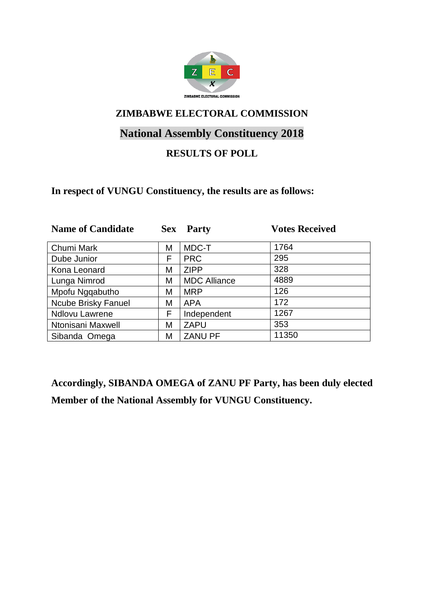

# **National Assembly Constituency 2018**

## **RESULTS OF POLL**

#### **In respect of VUNGU Constituency, the results are as follows:**

| <b>Name of Candidate</b>   | <b>Sex</b> | <b>Party</b>        | <b>Votes Received</b> |
|----------------------------|------------|---------------------|-----------------------|
| Chumi Mark                 | Μ          | MDC-T               | 1764                  |
| Dube Junior                | F          | <b>PRC</b>          | 295                   |
| Kona Leonard               | М          | <b>ZIPP</b>         | 328                   |
| Lunga Nimrod               | Μ          | <b>MDC Alliance</b> | 4889                  |
| Mpofu Ngqabutho            | М          | <b>MRP</b>          | 126                   |
| <b>Ncube Brisky Fanuel</b> | Μ          | <b>APA</b>          | 172                   |
| <b>Ndlovu Lawrene</b>      | F          | Independent         | 1267                  |
| Ntonisani Maxwell          | Μ          | <b>ZAPU</b>         | 353                   |
| Sibanda Omega              | М          | <b>ZANU PF</b>      | 11350                 |

**Accordingly, SIBANDA OMEGA of ZANU PF Party, has been duly elected Member of the National Assembly for VUNGU Constituency.**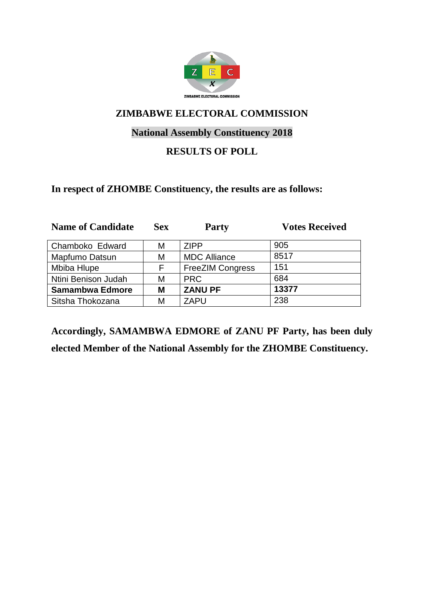

### **National Assembly Constituency 2018**

### **RESULTS OF POLL**

#### **In respect of ZHOMBE Constituency, the results are as follows:**

| <b>Name of Candidate</b> | <b>Sex</b> | <b>Party</b>            | <b>Votes Received</b> |
|--------------------------|------------|-------------------------|-----------------------|
| Chamboko Edward          | М          | <b>ZIPP</b>             | 905                   |
| Mapfumo Datsun           | М          | <b>MDC Alliance</b>     | 8517                  |
| Mbiba Hlupe              | F          | <b>FreeZIM Congress</b> | 151                   |
| Ntini Benison Judah      | М          | <b>PRC</b>              | 684                   |
| <b>Samambwa Edmore</b>   | М          | <b>ZANU PF</b>          | 13377                 |
| Sitsha Thokozana         | М          | <b>ZAPU</b>             | 238                   |

**Accordingly, SAMAMBWA EDMORE of ZANU PF Party, has been duly elected Member of the National Assembly for the ZHOMBE Constituency.**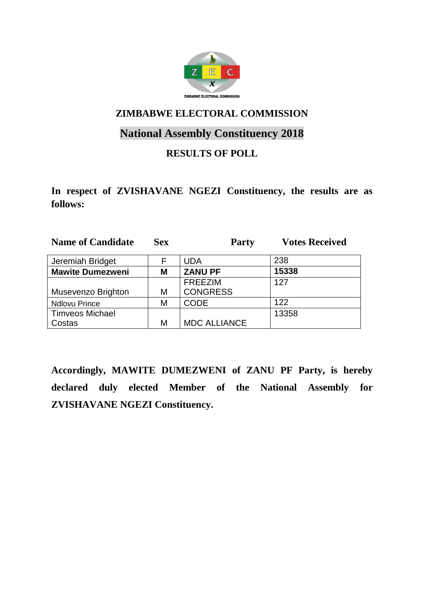

# **National Assembly Constituency 2018**

### **RESULTS OF POLL**

**In respect of ZVISHAVANE NGEZI Constituency, the results are as follows:**

| <b>Name of Candidate</b> | <b>Sex</b> | <b>Party</b>        | <b>Votes Received</b> |
|--------------------------|------------|---------------------|-----------------------|
| Jeremiah Bridget         | F          | <b>UDA</b>          | 238                   |
| <b>Mawite Dumezweni</b>  | Μ          | <b>ZANU PF</b>      | 15338                 |
|                          |            | <b>FREEZIM</b>      | 127                   |
| Musevenzo Brighton       | Μ          | <b>CONGRESS</b>     |                       |
| <b>Ndlovu Prince</b>     | М          | <b>CODE</b>         | 122                   |
| <b>Timveos Michael</b>   |            |                     | 13358                 |
| Costas                   | М          | <b>MDC ALLIANCE</b> |                       |

**Accordingly, MAWITE DUMEZWENI of ZANU PF Party, is hereby declared duly elected Member of the National Assembly for ZVISHAVANE NGEZI Constituency.**